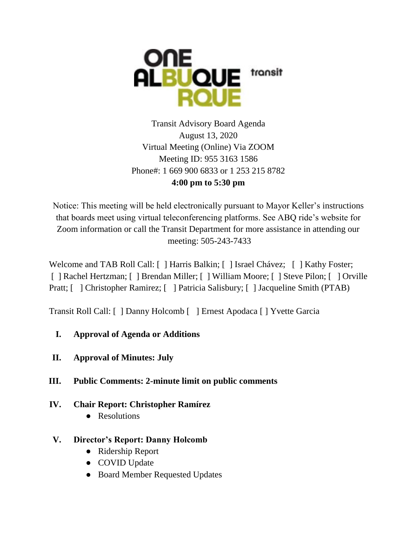

Transit Advisory Board Agenda August 13, 2020 Virtual Meeting (Online) Via ZOOM Meeting ID: 955 3163 1586 Phone#: 1 669 900 6833 or 1 253 215 8782 **4:00 pm to 5:30 pm**

Notice: This meeting will be held electronically pursuant to Mayor Keller's instructions that boards meet using virtual teleconferencing platforms. See ABQ ride's website for Zoom information or call the Transit Department for more assistance in attending our meeting: 505-243-7433

Welcome and TAB Roll Call: [ ] Harris Balkin; [ ] Israel Chávez; [ ] Kathy Foster; [ ] Rachel Hertzman; [ ] Brendan Miller; [ ] William Moore; [ ] Steve Pilon; [ ] Orville Pratt; [ ] Christopher Ramirez; [ ] Patricia Salisbury; [ ] Jacqueline Smith (PTAB)

Transit Roll Call: [ ] Danny Holcomb [ ] Ernest Apodaca [ ] Yvette Garcia

- **I. Approval of Agenda or Additions**
- **II. Approval of Minutes: July**
- **III. Public Comments: 2-minute limit on public comments**
- **IV. Chair Report: Christopher Ramírez**
	- Resolutions

# **V. Director's Report: Danny Holcomb**

- Ridership Report
- COVID Update
- Board Member Requested Updates